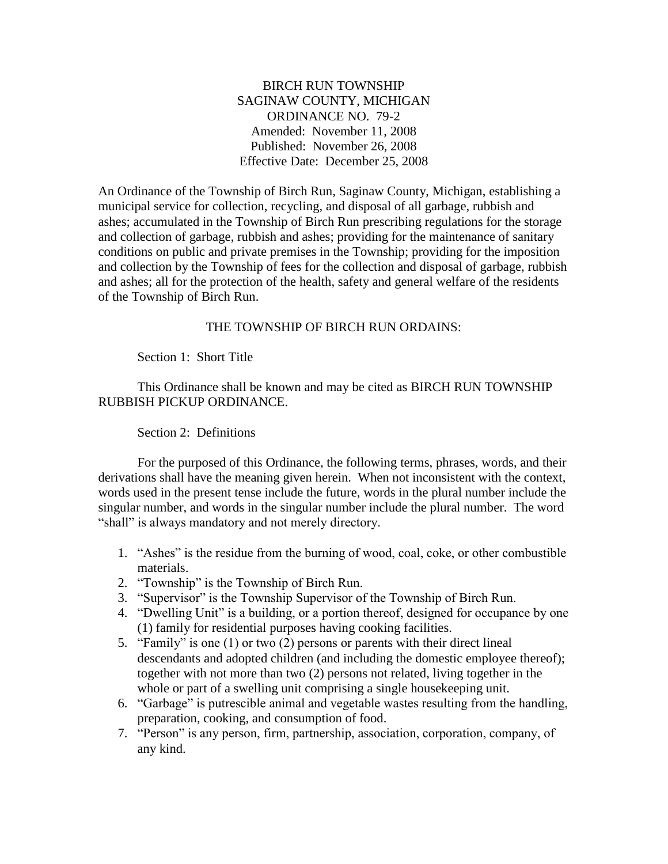BIRCH RUN TOWNSHIP SAGINAW COUNTY, MICHIGAN ORDINANCE NO. 79-2 Amended: November 11, 2008 Published: November 26, 2008 Effective Date: December 25, 2008

An Ordinance of the Township of Birch Run, Saginaw County, Michigan, establishing a municipal service for collection, recycling, and disposal of all garbage, rubbish and ashes; accumulated in the Township of Birch Run prescribing regulations for the storage and collection of garbage, rubbish and ashes; providing for the maintenance of sanitary conditions on public and private premises in the Township; providing for the imposition and collection by the Township of fees for the collection and disposal of garbage, rubbish and ashes; all for the protection of the health, safety and general welfare of the residents of the Township of Birch Run.

# THE TOWNSHIP OF BIRCH RUN ORDAINS:

Section 1: Short Title

This Ordinance shall be known and may be cited as BIRCH RUN TOWNSHIP RUBBISH PICKUP ORDINANCE.

Section 2: Definitions

For the purposed of this Ordinance, the following terms, phrases, words, and their derivations shall have the meaning given herein. When not inconsistent with the context, words used in the present tense include the future, words in the plural number include the singular number, and words in the singular number include the plural number. The word "shall" is always mandatory and not merely directory.

- 1. "Ashes" is the residue from the burning of wood, coal, coke, or other combustible materials.
- 2. "Township" is the Township of Birch Run.
- 3. "Supervisor" is the Township Supervisor of the Township of Birch Run.
- 4. "Dwelling Unit" is a building, or a portion thereof, designed for occupance by one (1) family for residential purposes having cooking facilities.
- 5. "Family" is one (1) or two (2) persons or parents with their direct lineal descendants and adopted children (and including the domestic employee thereof); together with not more than two (2) persons not related, living together in the whole or part of a swelling unit comprising a single housekeeping unit.
- 6. "Garbage" is putrescible animal and vegetable wastes resulting from the handling, preparation, cooking, and consumption of food.
- 7. "Person" is any person, firm, partnership, association, corporation, company, of any kind.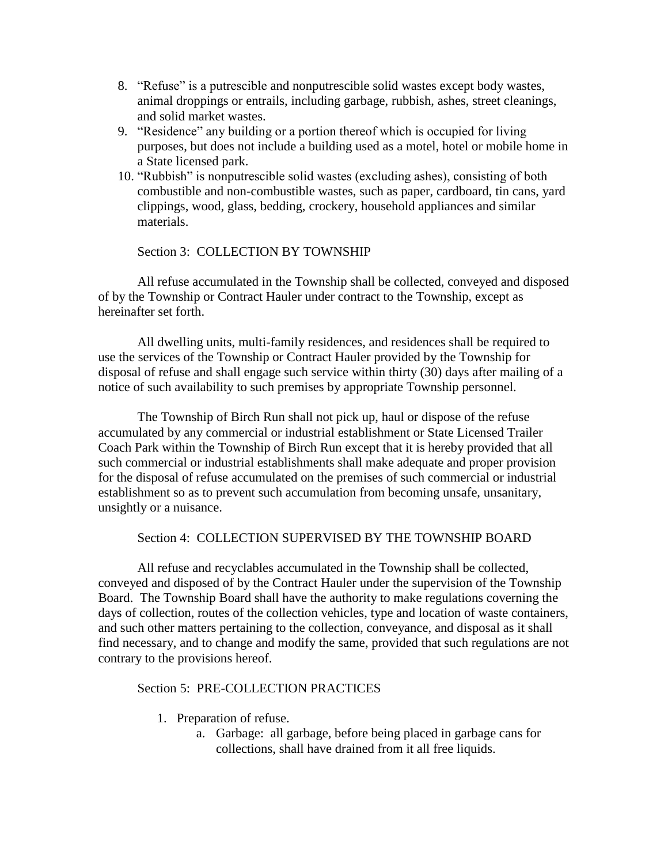- 8. "Refuse" is a putrescible and nonputrescible solid wastes except body wastes, animal droppings or entrails, including garbage, rubbish, ashes, street cleanings, and solid market wastes.
- 9. "Residence" any building or a portion thereof which is occupied for living purposes, but does not include a building used as a motel, hotel or mobile home in a State licensed park.
- 10. "Rubbish" is nonputrescible solid wastes (excluding ashes), consisting of both combustible and non-combustible wastes, such as paper, cardboard, tin cans, yard clippings, wood, glass, bedding, crockery, household appliances and similar materials.

Section 3: COLLECTION BY TOWNSHIP

All refuse accumulated in the Township shall be collected, conveyed and disposed of by the Township or Contract Hauler under contract to the Township, except as hereinafter set forth.

All dwelling units, multi-family residences, and residences shall be required to use the services of the Township or Contract Hauler provided by the Township for disposal of refuse and shall engage such service within thirty (30) days after mailing of a notice of such availability to such premises by appropriate Township personnel.

The Township of Birch Run shall not pick up, haul or dispose of the refuse accumulated by any commercial or industrial establishment or State Licensed Trailer Coach Park within the Township of Birch Run except that it is hereby provided that all such commercial or industrial establishments shall make adequate and proper provision for the disposal of refuse accumulated on the premises of such commercial or industrial establishment so as to prevent such accumulation from becoming unsafe, unsanitary, unsightly or a nuisance.

# Section 4: COLLECTION SUPERVISED BY THE TOWNSHIP BOARD

All refuse and recyclables accumulated in the Township shall be collected, conveyed and disposed of by the Contract Hauler under the supervision of the Township Board. The Township Board shall have the authority to make regulations coverning the days of collection, routes of the collection vehicles, type and location of waste containers, and such other matters pertaining to the collection, conveyance, and disposal as it shall find necessary, and to change and modify the same, provided that such regulations are not contrary to the provisions hereof.

### Section 5: PRE-COLLECTION PRACTICES

- 1. Preparation of refuse.
	- a. Garbage: all garbage, before being placed in garbage cans for collections, shall have drained from it all free liquids.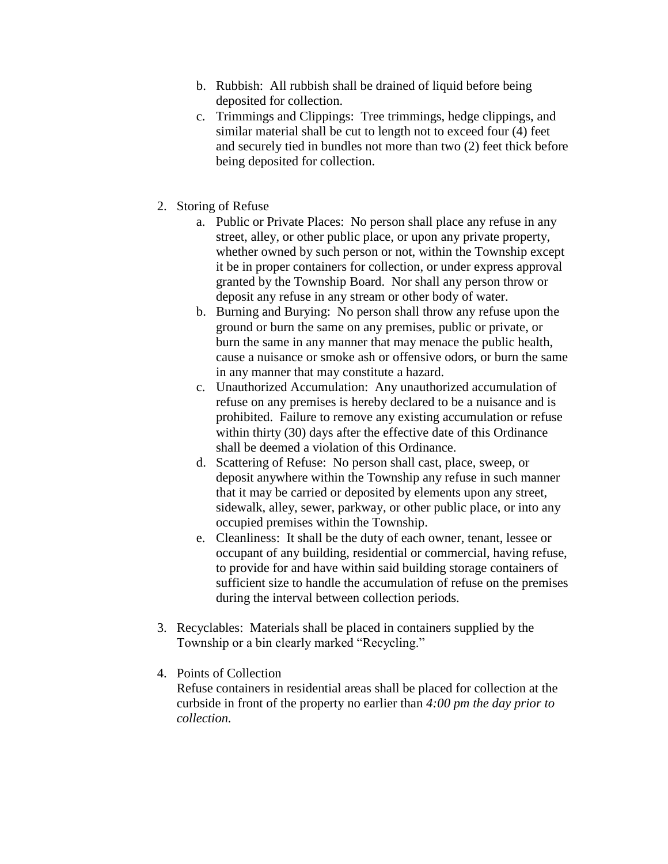- b. Rubbish: All rubbish shall be drained of liquid before being deposited for collection.
- c. Trimmings and Clippings: Tree trimmings, hedge clippings, and similar material shall be cut to length not to exceed four (4) feet and securely tied in bundles not more than two (2) feet thick before being deposited for collection.
- 2. Storing of Refuse
	- a. Public or Private Places: No person shall place any refuse in any street, alley, or other public place, or upon any private property, whether owned by such person or not, within the Township except it be in proper containers for collection, or under express approval granted by the Township Board. Nor shall any person throw or deposit any refuse in any stream or other body of water.
	- b. Burning and Burying: No person shall throw any refuse upon the ground or burn the same on any premises, public or private, or burn the same in any manner that may menace the public health, cause a nuisance or smoke ash or offensive odors, or burn the same in any manner that may constitute a hazard.
	- c. Unauthorized Accumulation: Any unauthorized accumulation of refuse on any premises is hereby declared to be a nuisance and is prohibited. Failure to remove any existing accumulation or refuse within thirty (30) days after the effective date of this Ordinance shall be deemed a violation of this Ordinance.
	- d. Scattering of Refuse: No person shall cast, place, sweep, or deposit anywhere within the Township any refuse in such manner that it may be carried or deposited by elements upon any street, sidewalk, alley, sewer, parkway, or other public place, or into any occupied premises within the Township.
	- e. Cleanliness: It shall be the duty of each owner, tenant, lessee or occupant of any building, residential or commercial, having refuse, to provide for and have within said building storage containers of sufficient size to handle the accumulation of refuse on the premises during the interval between collection periods.
- 3. Recyclables: Materials shall be placed in containers supplied by the Township or a bin clearly marked "Recycling."
- 4. Points of Collection

Refuse containers in residential areas shall be placed for collection at the curbside in front of the property no earlier than *4:00 pm the day prior to collection.*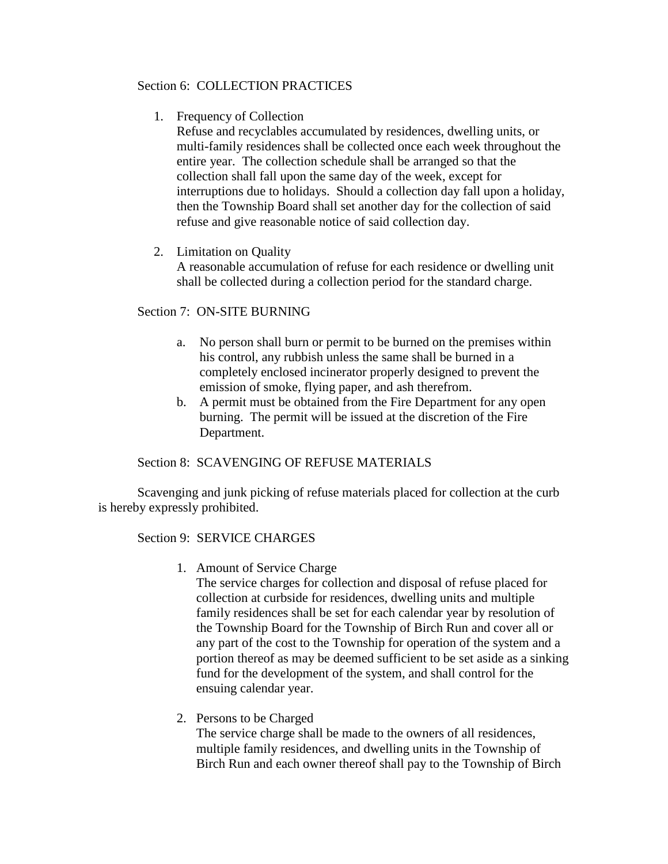# Section 6: COLLECTION PRACTICES

1. Frequency of Collection

Refuse and recyclables accumulated by residences, dwelling units, or multi-family residences shall be collected once each week throughout the entire year. The collection schedule shall be arranged so that the collection shall fall upon the same day of the week, except for interruptions due to holidays. Should a collection day fall upon a holiday, then the Township Board shall set another day for the collection of said refuse and give reasonable notice of said collection day.

# 2. Limitation on Quality

A reasonable accumulation of refuse for each residence or dwelling unit shall be collected during a collection period for the standard charge.

# Section 7: ON-SITE BURNING

- a. No person shall burn or permit to be burned on the premises within his control, any rubbish unless the same shall be burned in a completely enclosed incinerator properly designed to prevent the emission of smoke, flying paper, and ash therefrom.
- b. A permit must be obtained from the Fire Department for any open burning. The permit will be issued at the discretion of the Fire Department.

# Section 8: SCAVENGING OF REFUSE MATERIALS

Scavenging and junk picking of refuse materials placed for collection at the curb is hereby expressly prohibited.

### Section 9: SERVICE CHARGES

1. Amount of Service Charge

The service charges for collection and disposal of refuse placed for collection at curbside for residences, dwelling units and multiple family residences shall be set for each calendar year by resolution of the Township Board for the Township of Birch Run and cover all or any part of the cost to the Township for operation of the system and a portion thereof as may be deemed sufficient to be set aside as a sinking fund for the development of the system, and shall control for the ensuing calendar year.

2. Persons to be Charged

The service charge shall be made to the owners of all residences, multiple family residences, and dwelling units in the Township of Birch Run and each owner thereof shall pay to the Township of Birch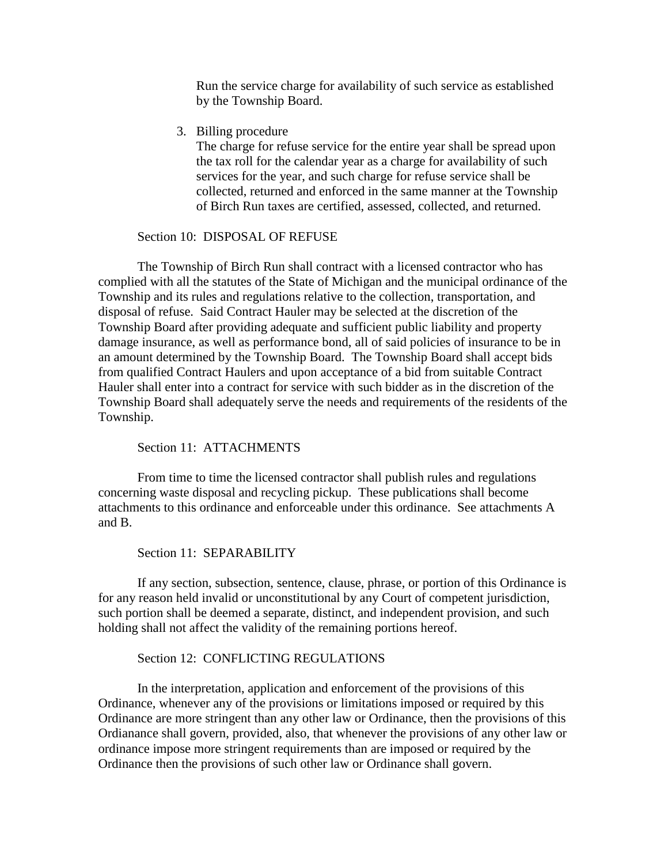Run the service charge for availability of such service as established by the Township Board.

3. Billing procedure

The charge for refuse service for the entire year shall be spread upon the tax roll for the calendar year as a charge for availability of such services for the year, and such charge for refuse service shall be collected, returned and enforced in the same manner at the Township of Birch Run taxes are certified, assessed, collected, and returned.

# Section 10: DISPOSAL OF REFUSE

The Township of Birch Run shall contract with a licensed contractor who has complied with all the statutes of the State of Michigan and the municipal ordinance of the Township and its rules and regulations relative to the collection, transportation, and disposal of refuse. Said Contract Hauler may be selected at the discretion of the Township Board after providing adequate and sufficient public liability and property damage insurance, as well as performance bond, all of said policies of insurance to be in an amount determined by the Township Board. The Township Board shall accept bids from qualified Contract Haulers and upon acceptance of a bid from suitable Contract Hauler shall enter into a contract for service with such bidder as in the discretion of the Township Board shall adequately serve the needs and requirements of the residents of the Township.

### Section 11: ATTACHMENTS

From time to time the licensed contractor shall publish rules and regulations concerning waste disposal and recycling pickup. These publications shall become attachments to this ordinance and enforceable under this ordinance. See attachments A and B.

### Section 11: SEPARABILITY

If any section, subsection, sentence, clause, phrase, or portion of this Ordinance is for any reason held invalid or unconstitutional by any Court of competent jurisdiction, such portion shall be deemed a separate, distinct, and independent provision, and such holding shall not affect the validity of the remaining portions hereof.

### Section 12: CONFLICTING REGULATIONS

In the interpretation, application and enforcement of the provisions of this Ordinance, whenever any of the provisions or limitations imposed or required by this Ordinance are more stringent than any other law or Ordinance, then the provisions of this Ordianance shall govern, provided, also, that whenever the provisions of any other law or ordinance impose more stringent requirements than are imposed or required by the Ordinance then the provisions of such other law or Ordinance shall govern.